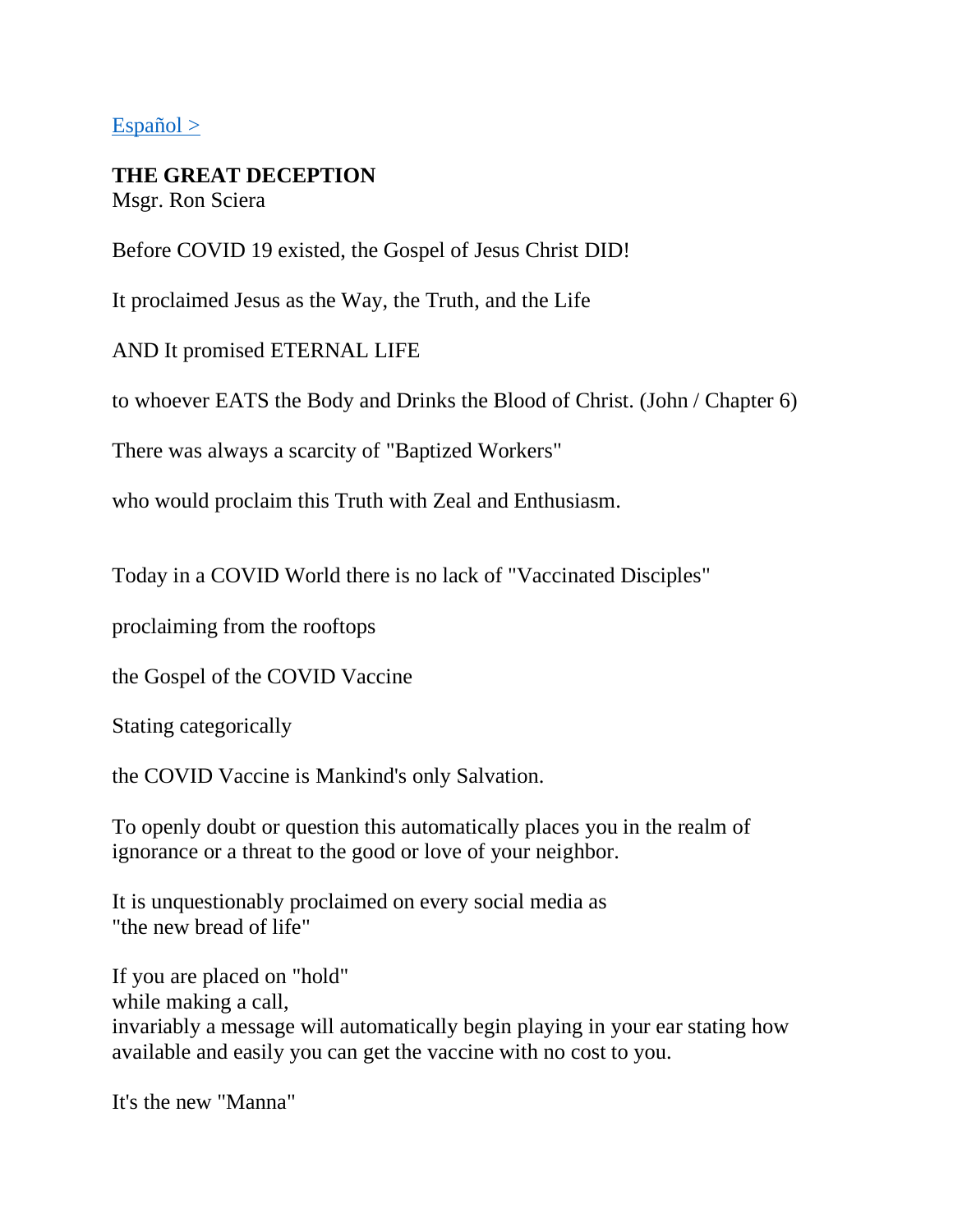#### $Español >$

### **THE GREAT DECEPTION**

Msgr. Ron Sciera

Before COVID 19 existed, the Gospel of Jesus Christ DID!

It proclaimed Jesus as the Way, the Truth, and the Life

AND It promised ETERNAL LIFE

to whoever EATS the Body and Drinks the Blood of Christ. (John / Chapter 6)

There was always a scarcity of "Baptized Workers"

who would proclaim this Truth with Zeal and Enthusiasm.

Today in a COVID World there is no lack of "Vaccinated Disciples"

proclaiming from the rooftops

the Gospel of the COVID Vaccine

Stating categorically

the COVID Vaccine is Mankind's only Salvation.

To openly doubt or question this automatically places you in the realm of ignorance or a threat to the good or love of your neighbor.

It is unquestionably proclaimed on every social media as "the new bread of life"

If you are placed on "hold" while making a call, invariably a message will automatically begin playing in your ear stating how available and easily you can get the vaccine with no cost to you.

It's the new "Manna"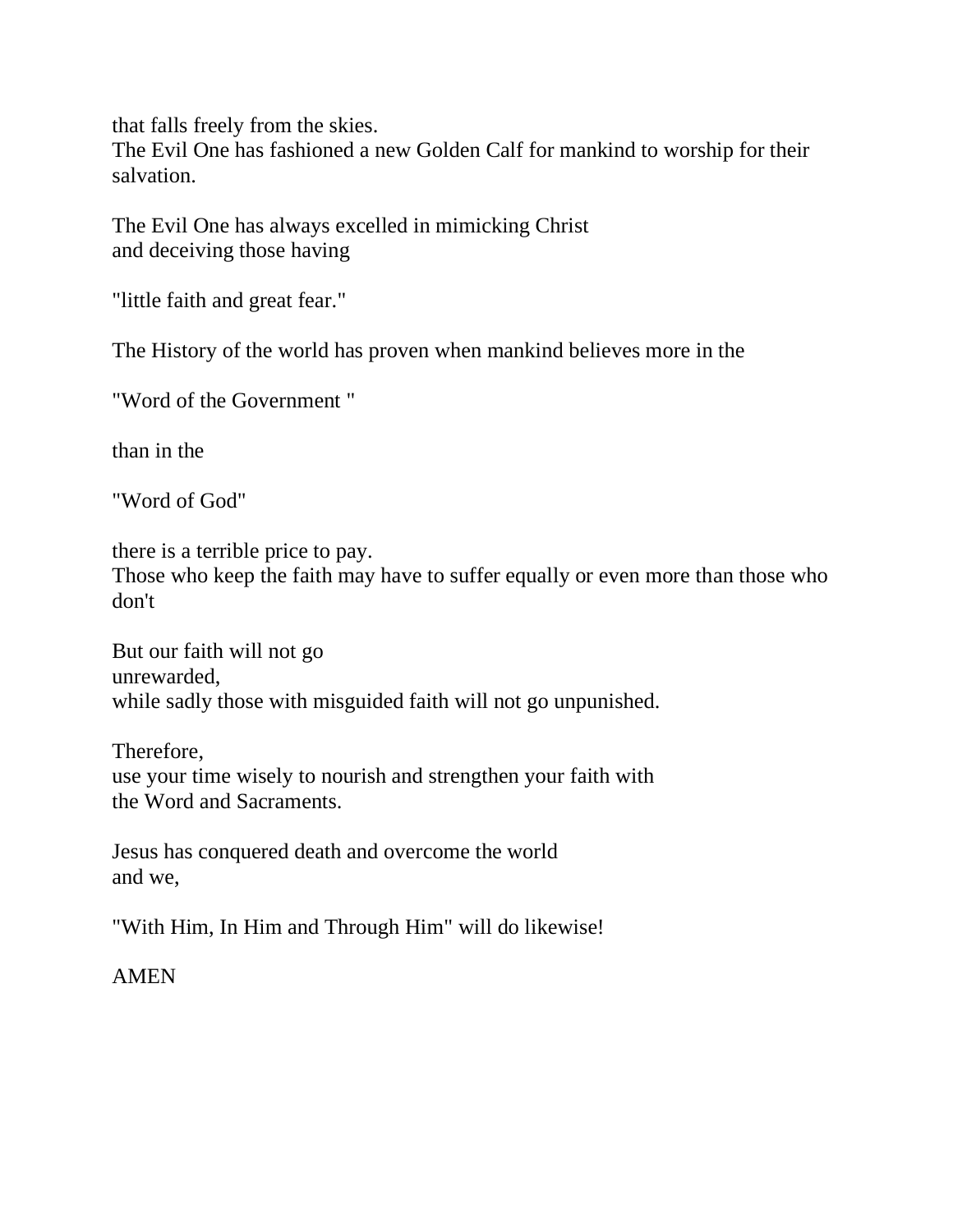that falls freely from the skies.

The Evil One has fashioned a new Golden Calf for mankind to worship for their salvation.

The Evil One has always excelled in mimicking Christ and deceiving those having

"little faith and great fear."

The History of the world has proven when mankind believes more in the

"Word of the Government "

than in the

"Word of God"

there is a terrible price to pay.

Those who keep the faith may have to suffer equally or even more than those who don't

But our faith will not go unrewarded, while sadly those with misguided faith will not go unpunished.

Therefore, use your time wisely to nourish and strengthen your faith with the Word and Sacraments.

Jesus has conquered death and overcome the world and we,

"With Him, In Him and Through Him" will do likewise!

#### AMEN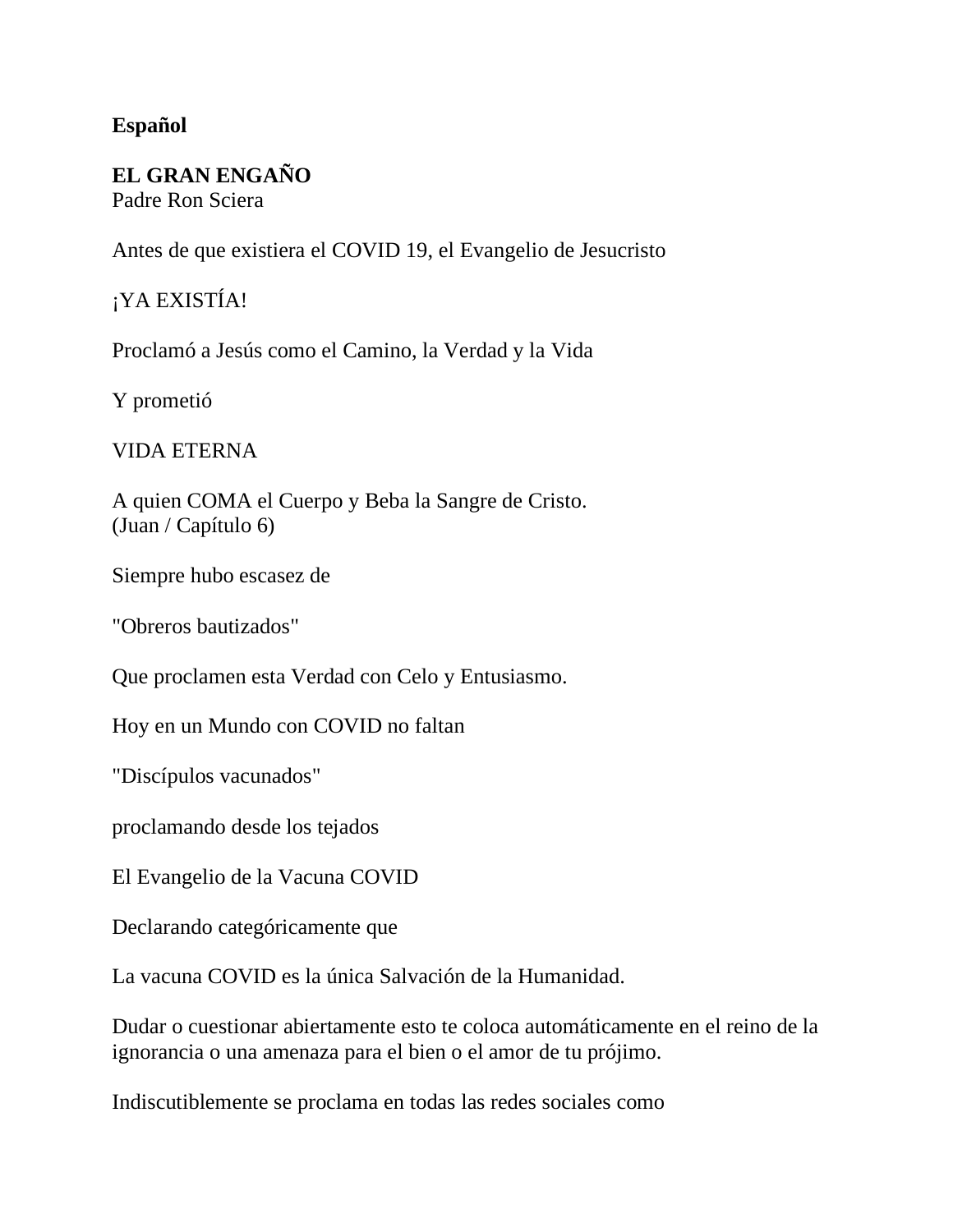#### <span id="page-2-0"></span>**Español**

# **EL GRAN ENGAÑO**

Padre Ron Sciera

Antes de que existiera el COVID 19, el Evangelio de Jesucristo

## ¡YA EXISTÍA!

Proclamó a Jesús como el Camino, la Verdad y la Vida

Y prometió

#### VIDA ETERNA

A quien COMA el Cuerpo y Beba la Sangre de Cristo. (Juan / Capítulo 6)

Siempre hubo escasez de

"Obreros bautizados"

Que proclamen esta Verdad con Celo y Entusiasmo.

Hoy en un Mundo con COVID no faltan

"Discípulos vacunados"

proclamando desde los tejados

El Evangelio de la Vacuna COVID

Declarando categóricamente que

La vacuna COVID es la única Salvación de la Humanidad.

Dudar o cuestionar abiertamente esto te coloca automáticamente en el reino de la ignorancia o una amenaza para el bien o el amor de tu prójimo.

Indiscutiblemente se proclama en todas las redes sociales como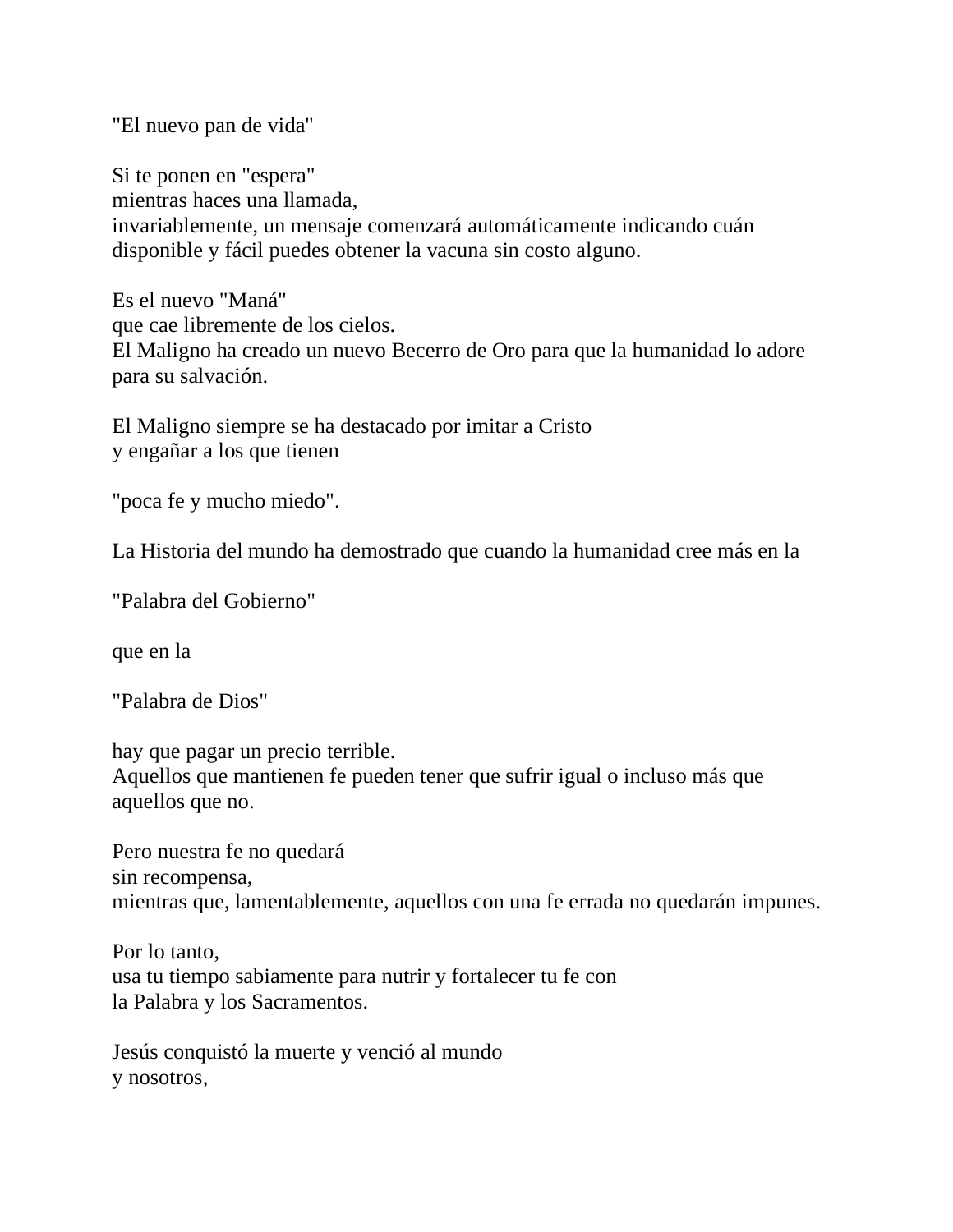"El nuevo pan de vida"

Si te ponen en "espera" mientras haces una llamada, invariablemente, un mensaje comenzará automáticamente indicando cuán disponible y fácil puedes obtener la vacuna sin costo alguno.

Es el nuevo "Maná" que cae libremente de los cielos. El Maligno ha creado un nuevo Becerro de Oro para que la humanidad lo adore para su salvación.

El Maligno siempre se ha destacado por imitar a Cristo y engañar a los que tienen

"poca fe y mucho miedo".

La Historia del mundo ha demostrado que cuando la humanidad cree más en la

"Palabra del Gobierno"

que en la

"Palabra de Dios"

hay que pagar un precio terrible.

Aquellos que mantienen fe pueden tener que sufrir igual o incluso más que aquellos que no.

Pero nuestra fe no quedará sin recompensa, mientras que, lamentablemente, aquellos con una fe errada no quedarán impunes.

Por lo tanto, usa tu tiempo sabiamente para nutrir y fortalecer tu fe con la Palabra y los Sacramentos.

Jesús conquistó la muerte y venció al mundo y nosotros,